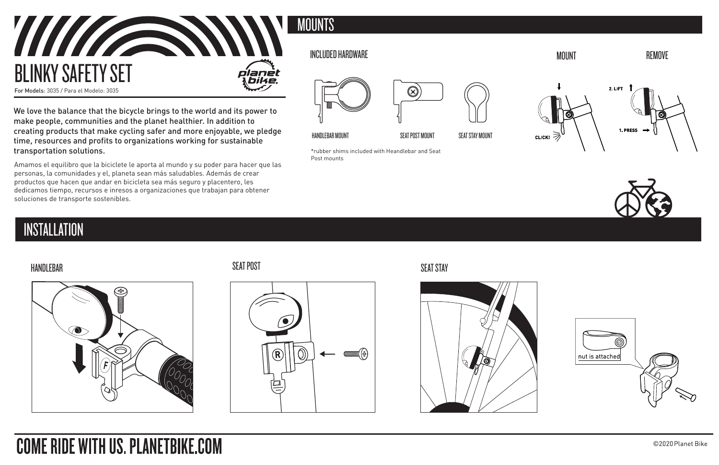

We love the balance that the bicycle brings to the world and its power to make people, communities and the planet healthier. In addition to creating products that make cycling safer and more enjoyable, we pledge time, resources and profits to organizations working for sustainable transportation solutions.

Amamos el equilibro que la biciclete le aporta al mundo y su poder para hacer que las personas, la comunidades y el, planeta sean más saludables. Además de crear productos que hacen que andar en bicicleta sea más seguro y placentero, les dedicamos tiempo, recursos e inresos a organizaciones que trabajan para obtener soluciones de transporte sostenibles.

## **INSTALLATION**







\*rubber shims included with Heandlebar and Seat

Œ

Post mounts